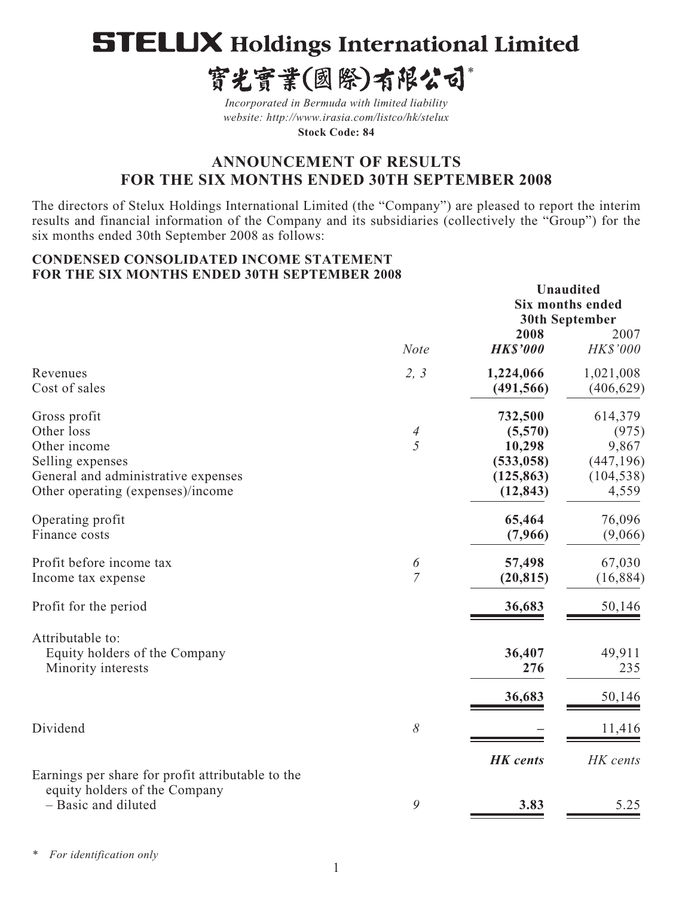# **STELUX Holdings International Limited**

寳光寳業(國際)有限公司\*

*Incorporated in Bermuda with limited liability website: http://www.irasia.com/listco/hk/stelux* 

**Stock Code: 84**

# **ANNOUNCEMENT OF RESULTS FOR THE SIX MONTHS ENDED 30TH SEPTEMBER 2008**

The directors of Stelux Holdings International Limited (the "Company") are pleased to report the interim results and financial information of the Company and its subsidiaries (collectively the "Group") for the six months ended 30th September 2008 as follows:

#### **CONDENSED CONSOLIDATED INCOME STATEMENT FOR THE SIX MONTHS ENDED 30TH SEPTEMBER 2008**

|                                                                                                                                            |                     | 2008                                                                  | <b>Unaudited</b><br><b>Six months ended</b><br><b>30th September</b><br>2007 |
|--------------------------------------------------------------------------------------------------------------------------------------------|---------------------|-----------------------------------------------------------------------|------------------------------------------------------------------------------|
|                                                                                                                                            | Note                | <b>HK\$'000</b>                                                       | HK\$'000                                                                     |
| Revenues<br>Cost of sales                                                                                                                  | 2, 3                | 1,224,066<br>(491, 566)                                               | 1,021,008<br>(406, 629)                                                      |
| Gross profit<br>Other loss<br>Other income<br>Selling expenses<br>General and administrative expenses<br>Other operating (expenses)/income | $\overline{A}$<br>5 | 732,500<br>(5,570)<br>10,298<br>(533, 058)<br>(125, 863)<br>(12, 843) | 614,379<br>(975)<br>9,867<br>(447, 196)<br>(104, 538)<br>4,559               |
| Operating profit<br>Finance costs                                                                                                          |                     | 65,464<br>(7,966)                                                     | 76,096<br>(9,066)                                                            |
| Profit before income tax<br>Income tax expense                                                                                             | 6<br>$\overline{7}$ | 57,498<br>(20, 815)                                                   | 67,030<br>(16, 884)                                                          |
| Profit for the period                                                                                                                      |                     | 36,683                                                                | 50,146                                                                       |
| Attributable to:<br>Equity holders of the Company<br>Minority interests                                                                    |                     | 36,407<br>276                                                         | 49,911<br>235                                                                |
|                                                                                                                                            |                     | 36,683                                                                | 50,146                                                                       |
| Dividend                                                                                                                                   | $\delta$            |                                                                       | 11,416                                                                       |
| Earnings per share for profit attributable to the<br>equity holders of the Company                                                         |                     | <b>HK</b> cents                                                       | HK cents                                                                     |
| - Basic and diluted                                                                                                                        | 9                   | 3.83                                                                  | 5.25                                                                         |

*\* For identification only*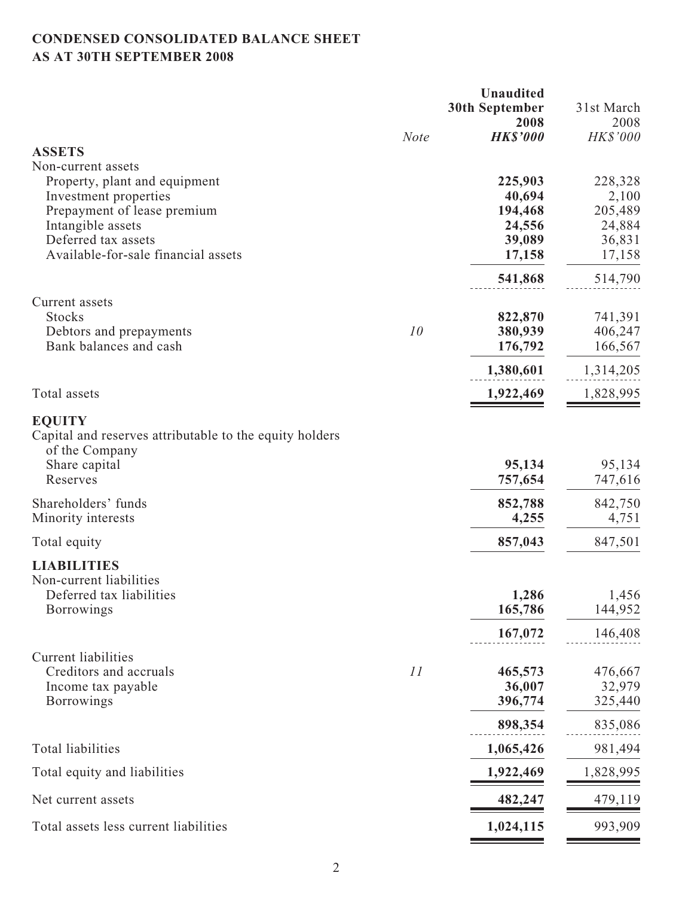# **CONDENSED CONSOLIDATED BALANCE SHEET AS AT 30TH SEPTEMBER 2008**

|                                                                                                                         |             | <b>Unaudited</b>             |                              |
|-------------------------------------------------------------------------------------------------------------------------|-------------|------------------------------|------------------------------|
|                                                                                                                         |             | <b>30th September</b>        | 31st March                   |
|                                                                                                                         | <b>Note</b> | 2008<br><b>HK\$'000</b>      | 2008<br>HK\$'000             |
| <b>ASSETS</b>                                                                                                           |             |                              |                              |
| Non-current assets                                                                                                      |             |                              |                              |
| Property, plant and equipment                                                                                           |             | 225,903                      | 228,328                      |
| Investment properties                                                                                                   |             | 40,694                       | 2,100                        |
| Prepayment of lease premium<br>Intangible assets                                                                        |             | 194,468<br>24,556            | 205,489<br>24,884            |
| Deferred tax assets                                                                                                     |             | 39,089                       | 36,831                       |
| Available-for-sale financial assets                                                                                     |             | 17,158                       | 17,158                       |
|                                                                                                                         |             | 541,868                      | 514,790                      |
| Current assets                                                                                                          |             |                              |                              |
| <b>Stocks</b>                                                                                                           |             | 822,870                      | 741,391                      |
| Debtors and prepayments                                                                                                 | 10          | 380,939                      | 406,247                      |
| Bank balances and cash                                                                                                  |             | 176,792                      | 166,567                      |
|                                                                                                                         |             | 1,380,601                    | 1,314,205                    |
| Total assets                                                                                                            |             | 1,922,469                    | 1,828,995                    |
| <b>EQUITY</b><br>Capital and reserves attributable to the equity holders<br>of the Company<br>Share capital<br>Reserves |             | 95,134<br>757,654            | 95,134<br>747,616            |
|                                                                                                                         |             |                              |                              |
| Shareholders' funds<br>Minority interests                                                                               |             | 852,788<br>4,255             | 842,750<br>4,751             |
| Total equity                                                                                                            |             | 857,043                      | 847,501                      |
| <b>LIABILITIES</b>                                                                                                      |             |                              |                              |
| Non-current liabilities<br>Deferred tax liabilities<br><b>Borrowings</b>                                                |             | 1,286<br>165,786             | 1,456<br>144,952             |
|                                                                                                                         |             | 167,072                      | 146,408                      |
| <b>Current liabilities</b><br>Creditors and accruals<br>Income tax payable<br><b>Borrowings</b>                         | 11          | 465,573<br>36,007<br>396,774 | 476,667<br>32,979<br>325,440 |
|                                                                                                                         |             | 898,354                      | 835,086                      |
| <b>Total liabilities</b>                                                                                                |             | 1,065,426                    | 981,494                      |
| Total equity and liabilities                                                                                            |             | 1,922,469                    | 1,828,995                    |
| Net current assets                                                                                                      |             | 482,247                      | 479,119                      |
| Total assets less current liabilities                                                                                   |             | 1,024,115                    | 993,909                      |
|                                                                                                                         |             |                              |                              |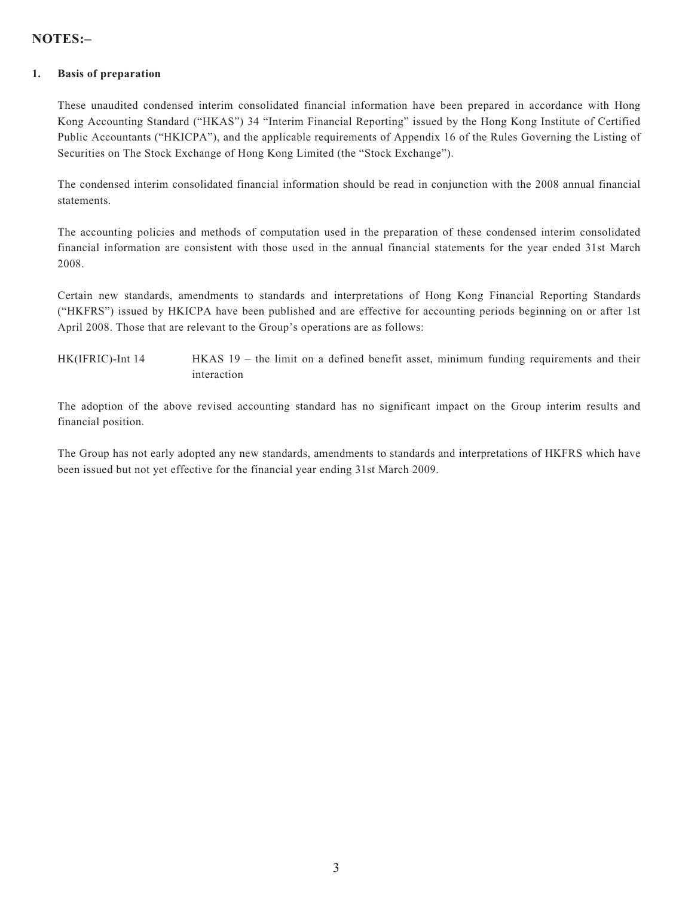## **NOTES:–**

#### **1. Basis of preparation**

These unaudited condensed interim consolidated financial information have been prepared in accordance with Hong Kong Accounting Standard ("HKAS") 34 "Interim Financial Reporting" issued by the Hong Kong Institute of Certified Public Accountants ("HKICPA"), and the applicable requirements of Appendix 16 of the Rules Governing the Listing of Securities on The Stock Exchange of Hong Kong Limited (the "Stock Exchange").

The condensed interim consolidated financial information should be read in conjunction with the 2008 annual financial statements.

The accounting policies and methods of computation used in the preparation of these condensed interim consolidated financial information are consistent with those used in the annual financial statements for the year ended 31st March 2008.

Certain new standards, amendments to standards and interpretations of Hong Kong Financial Reporting Standards ("HKFRS") issued by HKICPA have been published and are effective for accounting periods beginning on or after 1st April 2008. Those that are relevant to the Group's operations are as follows:

HK(IFRIC)-Int 14 HKAS 19 – the limit on a defined benefit asset, minimum funding requirements and their interaction

The adoption of the above revised accounting standard has no significant impact on the Group interim results and financial position.

The Group has not early adopted any new standards, amendments to standards and interpretations of HKFRS which have been issued but not yet effective for the financial year ending 31st March 2009.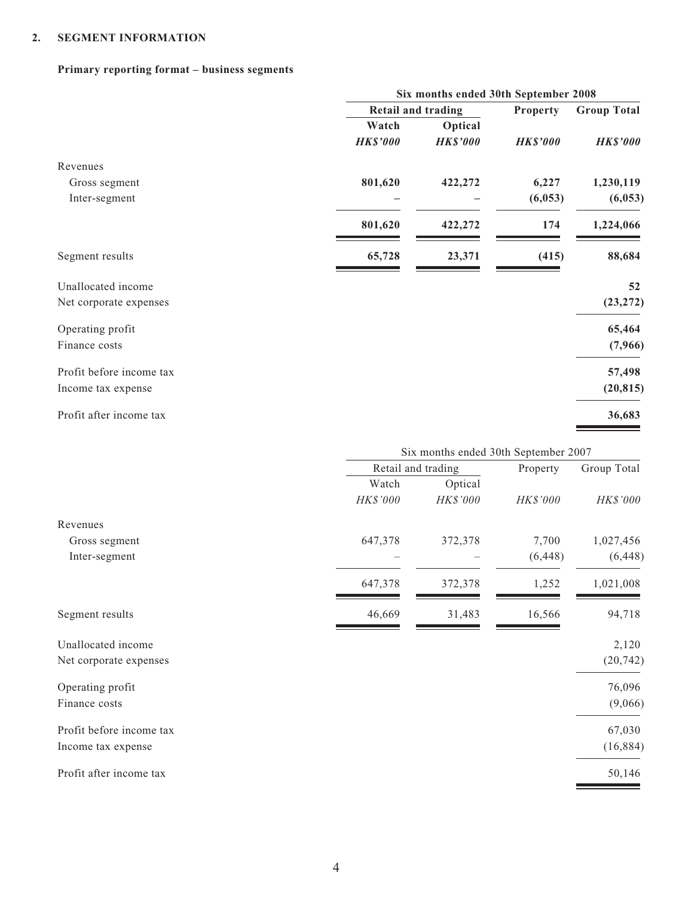#### **2. SEGMENT INFORMATION**

#### **Primary reporting format – business segments**

|                          |                    | Six months ended 30th September 2008 |                 |                    |
|--------------------------|--------------------|--------------------------------------|-----------------|--------------------|
|                          |                    | <b>Retail and trading</b>            |                 | <b>Group Total</b> |
|                          | Watch              | Optical                              |                 |                    |
|                          | <b>HK\$'000</b>    | <b>HK\$'000</b>                      | <b>HK\$'000</b> | <b>HK\$'000</b>    |
| Revenues                 |                    |                                      |                 |                    |
| Gross segment            | 801,620            | 422,272                              | 6,227           | 1,230,119          |
| Inter-segment            |                    |                                      | (6,053)         | (6,053)            |
|                          | 801,620            | 422,272                              | 174             | 1,224,066          |
| Segment results          | 65,728             | 23,371                               | (415)           | 88,684             |
| Unallocated income       |                    |                                      |                 | 52                 |
| Net corporate expenses   |                    |                                      |                 | (23, 272)          |
| Operating profit         |                    |                                      |                 | 65,464             |
| Finance costs            |                    |                                      |                 | (7,966)            |
| Profit before income tax |                    |                                      |                 | 57,498             |
| Income tax expense       |                    |                                      |                 | (20, 815)          |
| Profit after income tax  |                    |                                      |                 | 36,683             |
|                          |                    | Six months ended 30th September 2007 |                 |                    |
|                          | Retail and trading |                                      | Property        | Group Total        |
|                          | Watch              | Optical                              |                 |                    |
|                          | HK\$'000           | HK\$'000                             | HK\$'000        | HK\$'000           |
| Revenues                 |                    |                                      |                 |                    |
| Gross segment            | 647,378            | 372,378                              | 7,700           | 1,027,456          |
| Inter-segment            |                    |                                      | (6, 448)        | (6, 448)           |
|                          | 647,378            | 372,378                              | 1,252           | 1,021,008          |
| Segment results          | 46,669             | 31,483                               | 16,566          | 94,718             |
| Unallocated income       |                    |                                      |                 | 2,120              |
| Net corporate expenses   |                    |                                      |                 | (20, 742)          |
| Operating profit         |                    |                                      |                 | 76,096             |

Finance costs (9,066)

Profit before income tax 67,030 Income tax expense (16,884)

Profit after income tax 50,146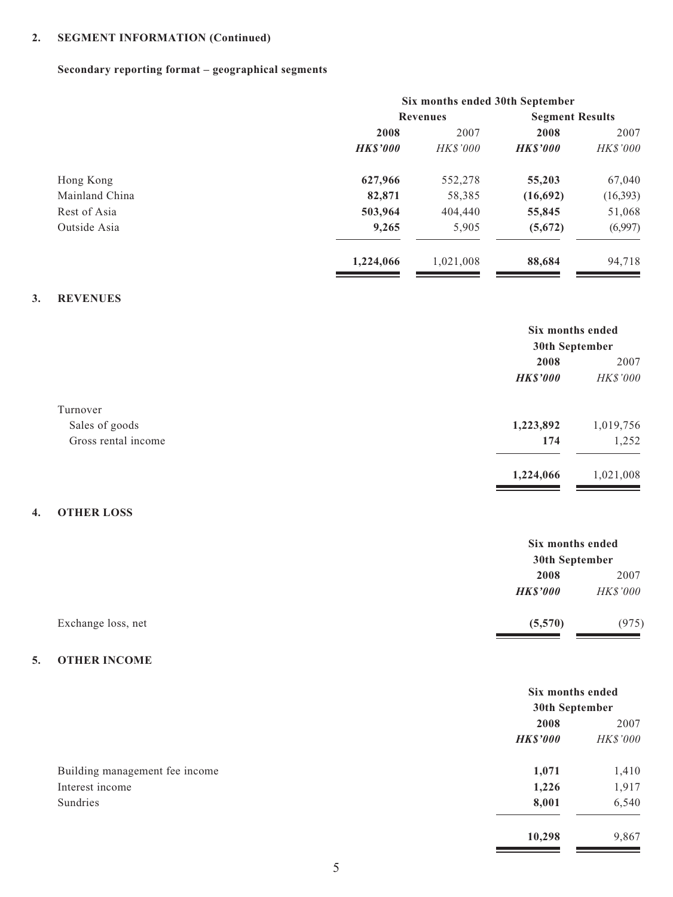# **2. SEGMENT INFORMATION (Continued)**

## **Secondary reporting format – geographical segments**

|                |                |                 | Six months ended 30th September |          |
|----------------|----------------|-----------------|---------------------------------|----------|
|                |                | <b>Revenues</b> | <b>Segment Results</b>          |          |
|                | 2008           | 2007            | 2008                            | 2007     |
|                | <b>HKS'000</b> | <b>HK\$'000</b> | <b>HKS'000</b>                  | HK\$'000 |
| Hong Kong      | 627,966        | 552,278         | 55,203                          | 67,040   |
| Mainland China | 82,871         | 58,385          | (16,692)                        | (16,393) |
| Rest of Asia   | 503,964        | 404,440         | 55,845                          | 51,068   |
| Outside Asia   | 9,265          | 5,905           | (5,672)                         | (6,997)  |
|                | 1,224,066      | 1,021,008       | 88,684                          | 94,718   |
|                |                |                 |                                 |          |

#### **3. REVENUES**

|                     | Six months ended |                 |
|---------------------|------------------|-----------------|
|                     | 30th September   |                 |
|                     | 2008             | 2007            |
|                     | <b>HK\$'000</b>  | <b>HK\$'000</b> |
| Turnover            |                  |                 |
| Sales of goods      | 1,223,892        | 1,019,756       |
| Gross rental income | 174              | 1,252           |
|                     | 1,224,066        | 1,021,008       |

#### **4. OTHER LOSS**

|                    |                 | Six months ended |  |
|--------------------|-----------------|------------------|--|
|                    |                 | 30th September   |  |
|                    | 2008            | 2007             |  |
|                    | <b>HK\$'000</b> | <i>HK\$'000</i>  |  |
| Exchange loss, net | (5,570)         | (975)            |  |

#### **5. OTHER INCOME**

|                                | Six months ended<br>30th September |          |
|--------------------------------|------------------------------------|----------|
|                                | 2008                               | 2007     |
|                                | <b>HK\$'000</b>                    | HK\$'000 |
| Building management fee income | 1,071                              | 1,410    |
| Interest income                | 1,226                              | 1,917    |
| Sundries                       | 8,001                              | 6,540    |
|                                | 10,298                             | 9,867    |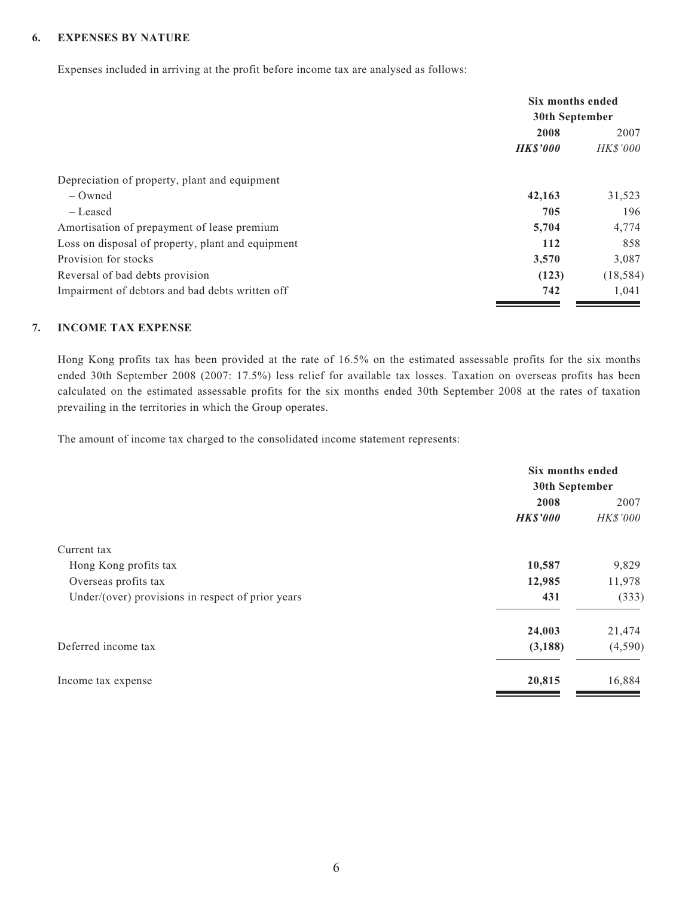#### **6. EXPENSES BY NATURE**

Expenses included in arriving at the profit before income tax are analysed as follows:

|                                                   | Six months ended<br>30th September |                 |      |
|---------------------------------------------------|------------------------------------|-----------------|------|
|                                                   |                                    |                 |      |
|                                                   | 2008                               |                 | 2007 |
|                                                   | <b>HK\$'000</b>                    | <b>HK\$'000</b> |      |
| Depreciation of property, plant and equipment     |                                    |                 |      |
| $-$ Owned                                         | 42,163                             | 31,523          |      |
| – Leased                                          | 705                                | 196             |      |
| Amortisation of prepayment of lease premium       | 5,704                              | 4,774           |      |
| Loss on disposal of property, plant and equipment | 112                                | 858             |      |
| Provision for stocks                              | 3,570                              | 3,087           |      |
| Reversal of bad debts provision                   | (123)                              | (18, 584)       |      |
| Impairment of debtors and bad debts written off   | 742                                | 1.041           |      |

#### **7. INCOME TAX EXPENSE**

Hong Kong profits tax has been provided at the rate of 16.5% on the estimated assessable profits for the six months ended 30th September 2008 (2007: 17.5%) less relief for available tax losses. Taxation on overseas profits has been calculated on the estimated assessable profits for the six months ended 30th September 2008 at the rates of taxation prevailing in the territories in which the Group operates.

The amount of income tax charged to the consolidated income statement represents:

|                                                   | Six months ended |                 |
|---------------------------------------------------|------------------|-----------------|
|                                                   | 30th September   |                 |
|                                                   | 2008             | 2007            |
|                                                   | <b>HK\$'000</b>  | <b>HK\$'000</b> |
| Current tax                                       |                  |                 |
| Hong Kong profits tax                             | 10,587           | 9,829           |
| Overseas profits tax                              | 12,985           | 11,978          |
| Under/(over) provisions in respect of prior years | 431              | (333)           |
|                                                   | 24,003           | 21,474          |
| Deferred income tax                               | (3, 188)         | (4,590)         |
| Income tax expense                                | 20,815           | 16,884          |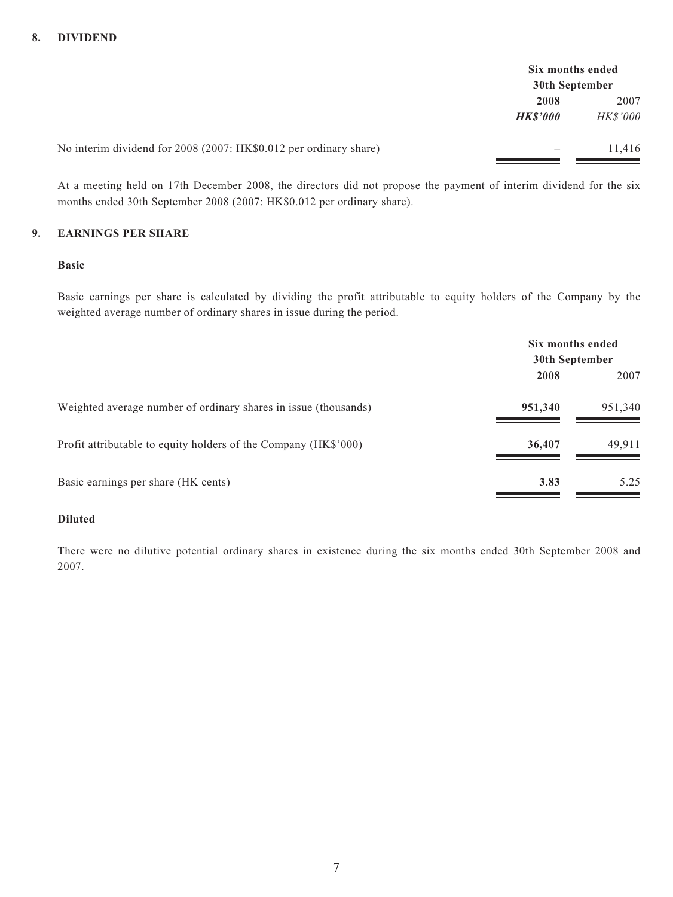|                                                                   | Six months ended |                 |
|-------------------------------------------------------------------|------------------|-----------------|
|                                                                   | 30th September   |                 |
|                                                                   | 2008             | 2007            |
|                                                                   | <b>HKS'000</b>   | <i>HK\$'000</i> |
|                                                                   |                  |                 |
| No interim dividend for 2008 (2007: HK\$0.012 per ordinary share) | —                | 11.416          |
|                                                                   |                  |                 |

At a meeting held on 17th December 2008, the directors did not propose the payment of interim dividend for the six months ended 30th September 2008 (2007: HK\$0.012 per ordinary share).

#### **9. EARNINGS PER SHARE**

#### **Basic**

Basic earnings per share is calculated by dividing the profit attributable to equity holders of the Company by the weighted average number of ordinary shares in issue during the period.

|                                                                 | Six months ended<br>30th September |         |
|-----------------------------------------------------------------|------------------------------------|---------|
|                                                                 | 2008                               | 2007    |
| Weighted average number of ordinary shares in issue (thousands) | 951,340                            | 951,340 |
| Profit attributable to equity holders of the Company (HK\$'000) | 36,407                             | 49,911  |
| Basic earnings per share (HK cents)                             | 3.83                               | 5.25    |

#### **Diluted**

There were no dilutive potential ordinary shares in existence during the six months ended 30th September 2008 and 2007.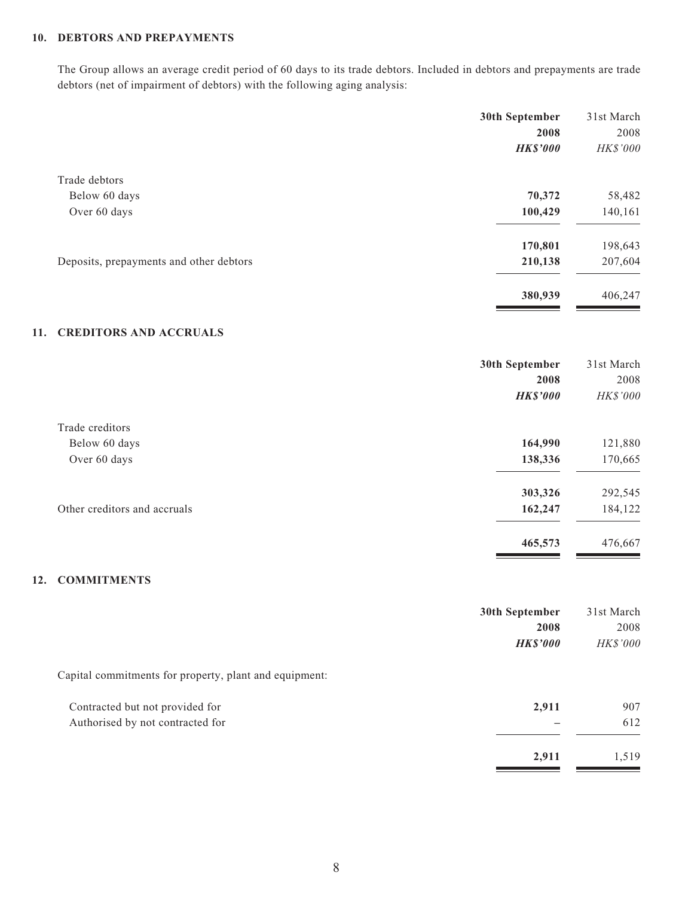#### **10. DEBTORS AND PREPAYMENTS**

The Group allows an average credit period of 60 days to its trade debtors. Included in debtors and prepayments are trade debtors (net of impairment of debtors) with the following aging analysis:

|                                         | 30th September  | 31st March |
|-----------------------------------------|-----------------|------------|
|                                         | 2008            | 2008       |
|                                         | <b>HK\$'000</b> | HK\$'000   |
| Trade debtors                           |                 |            |
| Below 60 days                           | 70,372          | 58,482     |
| Over 60 days                            | 100,429         | 140,161    |
|                                         | 170,801         | 198,643    |
| Deposits, prepayments and other debtors | 210,138         | 207,604    |
|                                         | 380,939         | 406,247    |

#### **11. CREDITORS AND ACCRUALS**

|                              | 30th September<br>2008<br><b>HK\$'000</b> | 31st March<br>2008<br>HK\$'000 |
|------------------------------|-------------------------------------------|--------------------------------|
| Trade creditors              |                                           |                                |
| Below 60 days                | 164,990                                   | 121,880                        |
| Over 60 days                 | 138,336                                   | 170,665                        |
|                              | 303,326                                   | 292,545                        |
| Other creditors and accruals | 162,247                                   | 184,122                        |
|                              | 465,573                                   | 476,667                        |

#### **12. COMMITMENTS**

|                                                        | 30th September  | 31st March |
|--------------------------------------------------------|-----------------|------------|
|                                                        | 2008            | 2008       |
|                                                        | <b>HK\$'000</b> | HK\$'000   |
| Capital commitments for property, plant and equipment: |                 |            |
| Contracted but not provided for                        | 2,911           | 907        |
| Authorised by not contracted for                       |                 | 612        |
|                                                        | 2,911           | 1,519      |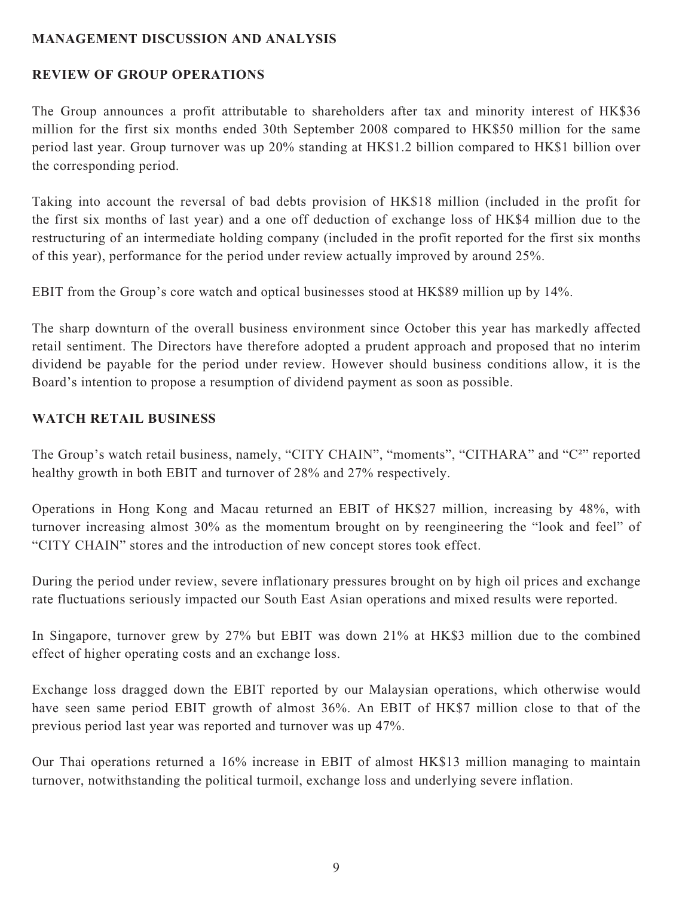## **MANAGEMENT DISCUSSION AND ANALYSIS**

## **REVIEW OF GROUP OPERATIONS**

The Group announces a profit attributable to shareholders after tax and minority interest of HK\$36 million for the first six months ended 30th September 2008 compared to HK\$50 million for the same period last year. Group turnover was up 20% standing at HK\$1.2 billion compared to HK\$1 billion over the corresponding period.

Taking into account the reversal of bad debts provision of HK\$18 million (included in the profit for the first six months of last year) and a one off deduction of exchange loss of HK\$4 million due to the restructuring of an intermediate holding company (included in the profit reported for the first six months of this year), performance for the period under review actually improved by around 25%.

EBIT from the Group's core watch and optical businesses stood at HK\$89 million up by 14%.

The sharp downturn of the overall business environment since October this year has markedly affected retail sentiment. The Directors have therefore adopted a prudent approach and proposed that no interim dividend be payable for the period under review. However should business conditions allow, it is the Board's intention to propose a resumption of dividend payment as soon as possible.

## **WATCH RETAIL BUSINESS**

The Group's watch retail business, namely, "CITY CHAIN", "moments", "CITHARA" and "C<sup>2</sup>" reported healthy growth in both EBIT and turnover of 28% and 27% respectively.

Operations in Hong Kong and Macau returned an EBIT of HK\$27 million, increasing by 48%, with turnover increasing almost 30% as the momentum brought on by reengineering the "look and feel" of "CITY CHAIN" stores and the introduction of new concept stores took effect.

During the period under review, severe inflationary pressures brought on by high oil prices and exchange rate fluctuations seriously impacted our South East Asian operations and mixed results were reported.

In Singapore, turnover grew by 27% but EBIT was down 21% at HK\$3 million due to the combined effect of higher operating costs and an exchange loss.

Exchange loss dragged down the EBIT reported by our Malaysian operations, which otherwise would have seen same period EBIT growth of almost 36%. An EBIT of HK\$7 million close to that of the previous period last year was reported and turnover was up 47%.

Our Thai operations returned a 16% increase in EBIT of almost HK\$13 million managing to maintain turnover, notwithstanding the political turmoil, exchange loss and underlying severe inflation.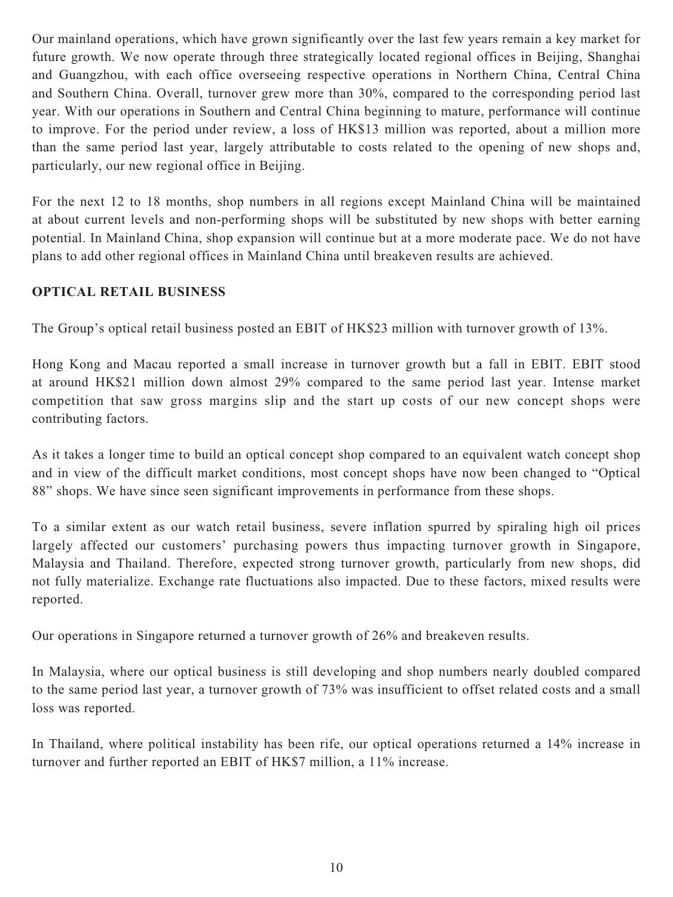Our mainland operations, which have grown significantly over the last few years remain a key market for future growth. We now operate through three strategically located regional offices in Beijing, Shanghai and Guangzhou, with each office overseeing respective operations in Northern China, Central China and Southern China. Overall, turnover grew more than 30%, compared to the corresponding period last year. With our operations in Southern and Central China beginning to mature, performance will continue to improve. For the period under review, a loss of HK\$13 million was reported, about a million more than the same period last year, largely attributable to costs related to the opening of new shops and, particularly, our new regional office in Beijing.

For the next 12 to 18 months, shop numbers in all regions except Mainland China will be maintained at about current levels and non-performing shops will be substituted by new shops with better earning potential. In Mainland China, shop expansion will continue but at a more moderate pace. We do not have plans to add other regional offices in Mainland China until breakeven results are achieved.

## **OPTICAL RETAIL BUSINESS**

The Group's optical retail business posted an EBIT of HK\$23 million with turnover growth of 13%.

Hong Kong and Macau reported a small increase in turnover growth but a fall in EBIT. EBIT stood at around HK\$21 million down almost 29% compared to the same period last year. Intense market competition that saw gross margins slip and the start up costs of our new concept shops were contributing factors.

As it takes a longer time to build an optical concept shop compared to an equivalent watch concept shop and in view of the difficult market conditions, most concept shops have now been changed to "Optical 88" shops. We have since seen significant improvements in performance from these shops.

To a similar extent as our watch retail business, severe inflation spurred by spiraling high oil prices largely affected our customers' purchasing powers thus impacting turnover growth in Singapore, Malaysia and Thailand. Therefore, expected strong turnover growth, particularly from new shops, did not fully materialize. Exchange rate fluctuations also impacted. Due to these factors, mixed results were reported.

Our operations in Singapore returned a turnover growth of 26% and breakeven results.

In Malaysia, where our optical business is still developing and shop numbers nearly doubled compared to the same period last year, a turnover growth of 73% was insufficient to offset related costs and a small loss was reported.

In Thailand, where political instability has been rife, our optical operations returned a 14% increase in turnover and further reported an EBIT of HK\$7 million, a 11% increase.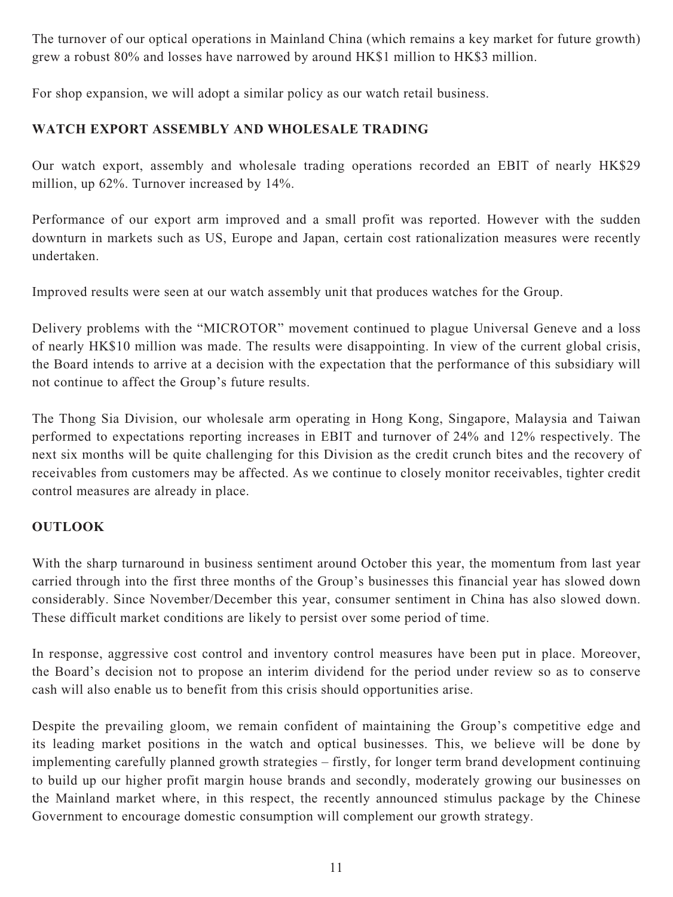The turnover of our optical operations in Mainland China (which remains a key market for future growth) grew a robust 80% and losses have narrowed by around HK\$1 million to HK\$3 million.

For shop expansion, we will adopt a similar policy as our watch retail business.

# **WATCH EXPORT ASSEMBLY AND WHOLESALE TRADING**

Our watch export, assembly and wholesale trading operations recorded an EBIT of nearly HK\$29 million, up 62%. Turnover increased by 14%.

Performance of our export arm improved and a small profit was reported. However with the sudden downturn in markets such as US, Europe and Japan, certain cost rationalization measures were recently undertaken.

Improved results were seen at our watch assembly unit that produces watches for the Group.

Delivery problems with the "MICROTOR" movement continued to plague Universal Geneve and a loss of nearly HK\$10 million was made. The results were disappointing. In view of the current global crisis, the Board intends to arrive at a decision with the expectation that the performance of this subsidiary will not continue to affect the Group's future results.

The Thong Sia Division, our wholesale arm operating in Hong Kong, Singapore, Malaysia and Taiwan performed to expectations reporting increases in EBIT and turnover of 24% and 12% respectively. The next six months will be quite challenging for this Division as the credit crunch bites and the recovery of receivables from customers may be affected. As we continue to closely monitor receivables, tighter credit control measures are already in place.

# **OUTLOOK**

With the sharp turnaround in business sentiment around October this year, the momentum from last year carried through into the first three months of the Group's businesses this financial year has slowed down considerably. Since November/December this year, consumer sentiment in China has also slowed down. These difficult market conditions are likely to persist over some period of time.

In response, aggressive cost control and inventory control measures have been put in place. Moreover, the Board's decision not to propose an interim dividend for the period under review so as to conserve cash will also enable us to benefit from this crisis should opportunities arise.

Despite the prevailing gloom, we remain confident of maintaining the Group's competitive edge and its leading market positions in the watch and optical businesses. This, we believe will be done by implementing carefully planned growth strategies – firstly, for longer term brand development continuing to build up our higher profit margin house brands and secondly, moderately growing our businesses on the Mainland market where, in this respect, the recently announced stimulus package by the Chinese Government to encourage domestic consumption will complement our growth strategy.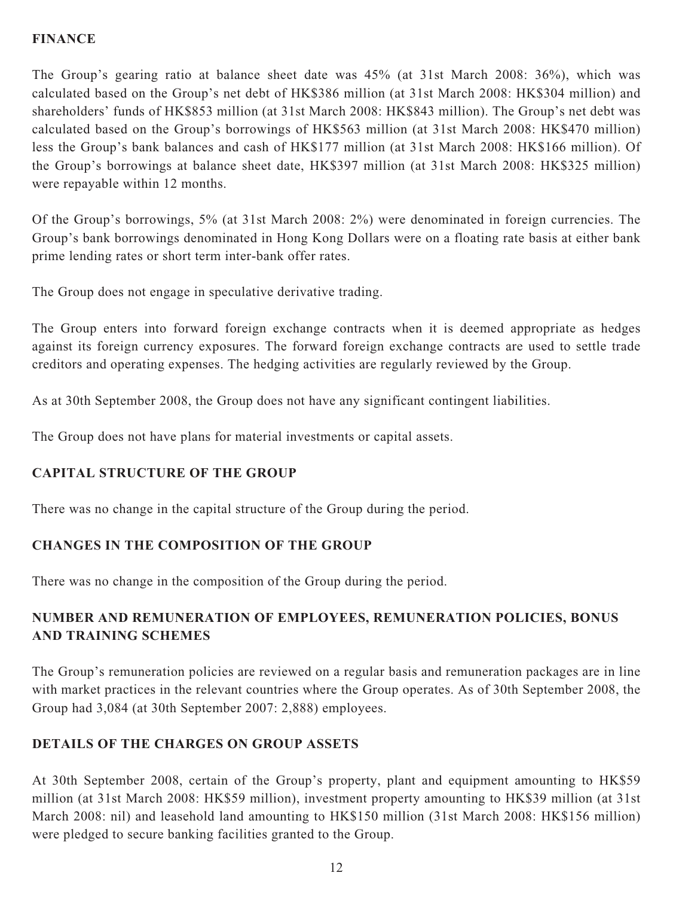## **FINANCE**

The Group's gearing ratio at balance sheet date was 45% (at 31st March 2008: 36%), which was calculated based on the Group's net debt of HK\$386 million (at 31st March 2008: HK\$304 million) and shareholders' funds of HK\$853 million (at 31st March 2008: HK\$843 million). The Group's net debt was calculated based on the Group's borrowings of HK\$563 million (at 31st March 2008: HK\$470 million) less the Group's bank balances and cash of HK\$177 million (at 31st March 2008: HK\$166 million). Of the Group's borrowings at balance sheet date, HK\$397 million (at 31st March 2008: HK\$325 million) were repayable within 12 months.

Of the Group's borrowings, 5% (at 31st March 2008: 2%) were denominated in foreign currencies. The Group's bank borrowings denominated in Hong Kong Dollars were on a floating rate basis at either bank prime lending rates or short term inter-bank offer rates.

The Group does not engage in speculative derivative trading.

The Group enters into forward foreign exchange contracts when it is deemed appropriate as hedges against its foreign currency exposures. The forward foreign exchange contracts are used to settle trade creditors and operating expenses. The hedging activities are regularly reviewed by the Group.

As at 30th September 2008, the Group does not have any significant contingent liabilities.

The Group does not have plans for material investments or capital assets.

## **CAPITAL STRUCTURE OF THE GROUP**

There was no change in the capital structure of the Group during the period.

## **CHANGES IN THE COMPOSITION OF THE GROUP**

There was no change in the composition of the Group during the period.

# **NUMBER AND REMUNERATION OF EMPLOYEES, REMUNERATION POLICIES, BONUS AND TRAINING SCHEMES**

The Group's remuneration policies are reviewed on a regular basis and remuneration packages are in line with market practices in the relevant countries where the Group operates. As of 30th September 2008, the Group had 3,084 (at 30th September 2007: 2,888) employees.

# **DETAILS OF THE CHARGES ON GROUP ASSETS**

At 30th September 2008, certain of the Group's property, plant and equipment amounting to HK\$59 million (at 31st March 2008: HK\$59 million), investment property amounting to HK\$39 million (at 31st March 2008: nil) and leasehold land amounting to HK\$150 million (31st March 2008: HK\$156 million) were pledged to secure banking facilities granted to the Group.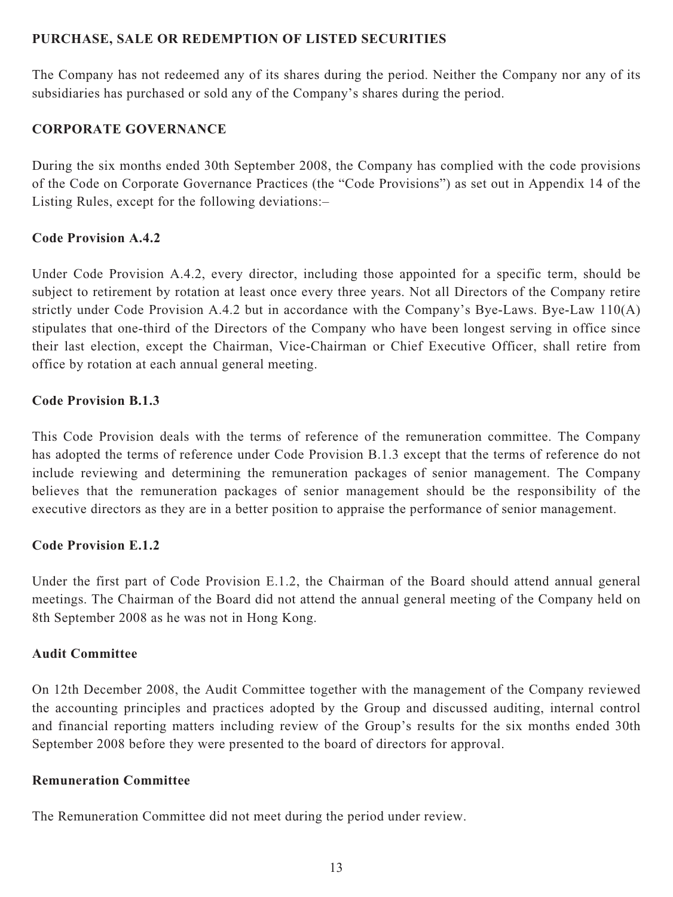## **PURCHASE, SALE OR REDEMPTION OF LISTED SECURITIES**

The Company has not redeemed any of its shares during the period. Neither the Company nor any of its subsidiaries has purchased or sold any of the Company's shares during the period.

## **CORPORATE GOVERNANCE**

During the six months ended 30th September 2008, the Company has complied with the code provisions of the Code on Corporate Governance Practices (the "Code Provisions") as set out in Appendix 14 of the Listing Rules, except for the following deviations:–

## **Code Provision A.4.2**

Under Code Provision A.4.2, every director, including those appointed for a specific term, should be subject to retirement by rotation at least once every three years. Not all Directors of the Company retire strictly under Code Provision A.4.2 but in accordance with the Company's Bye-Laws. Bye-Law 110(A) stipulates that one-third of the Directors of the Company who have been longest serving in office since their last election, except the Chairman, Vice-Chairman or Chief Executive Officer, shall retire from office by rotation at each annual general meeting.

## **Code Provision B.1.3**

This Code Provision deals with the terms of reference of the remuneration committee. The Company has adopted the terms of reference under Code Provision B.1.3 except that the terms of reference do not include reviewing and determining the remuneration packages of senior management. The Company believes that the remuneration packages of senior management should be the responsibility of the executive directors as they are in a better position to appraise the performance of senior management.

## **Code Provision E.1.2**

Under the first part of Code Provision E.1.2, the Chairman of the Board should attend annual general meetings. The Chairman of the Board did not attend the annual general meeting of the Company held on 8th September 2008 as he was not in Hong Kong.

## **Audit Committee**

On 12th December 2008, the Audit Committee together with the management of the Company reviewed the accounting principles and practices adopted by the Group and discussed auditing, internal control and financial reporting matters including review of the Group's results for the six months ended 30th September 2008 before they were presented to the board of directors for approval.

## **Remuneration Committee**

The Remuneration Committee did not meet during the period under review.